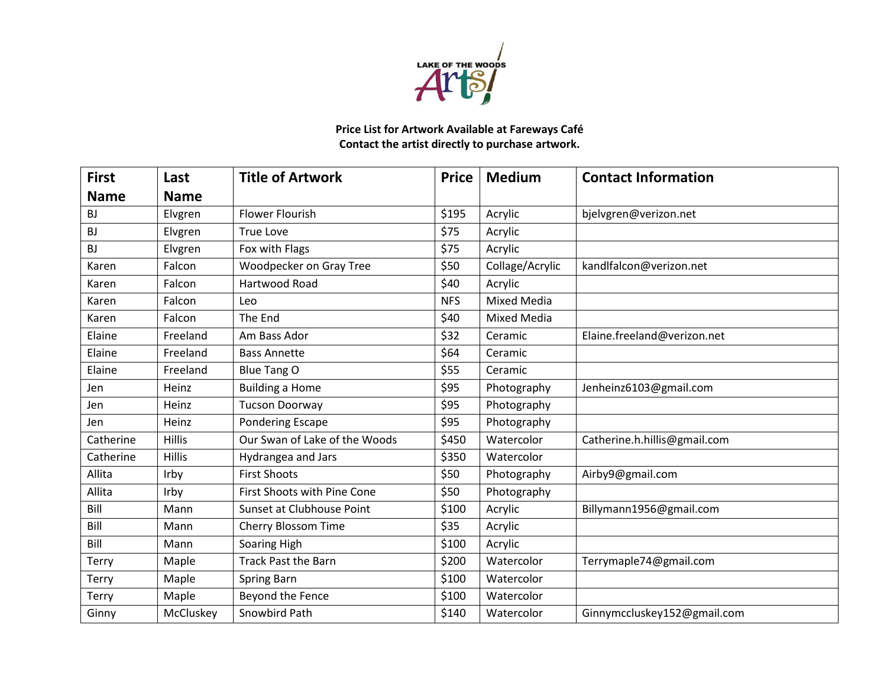

## **Price List for Artwork Available at Fareways Café Contact the artist directly to purchase artwork.**

| <b>First</b> | Last          | <b>Title of Artwork</b>       | <b>Price</b> | <b>Medium</b>      | <b>Contact Information</b>   |
|--------------|---------------|-------------------------------|--------------|--------------------|------------------------------|
| <b>Name</b>  | <b>Name</b>   |                               |              |                    |                              |
| <b>BJ</b>    | Elvgren       | <b>Flower Flourish</b>        | \$195        | Acrylic            | bjelvgren@verizon.net        |
| <b>BJ</b>    | Elvgren       | True Love                     | \$75         | Acrylic            |                              |
| <b>BJ</b>    | Elvgren       | Fox with Flags                | \$75         | Acrylic            |                              |
| Karen        | Falcon        | Woodpecker on Gray Tree       | \$50         | Collage/Acrylic    | kandlfalcon@verizon.net      |
| Karen        | Falcon        | Hartwood Road                 | \$40         | Acrylic            |                              |
| Karen        | Falcon        | Leo                           | <b>NFS</b>   | <b>Mixed Media</b> |                              |
| Karen        | Falcon        | The End                       | \$40         | <b>Mixed Media</b> |                              |
| Elaine       | Freeland      | Am Bass Ador                  | \$32         | Ceramic            | Elaine.freeland@verizon.net  |
| Elaine       | Freeland      | <b>Bass Annette</b>           | \$64         | Ceramic            |                              |
| Elaine       | Freeland      | <b>Blue Tang O</b>            | \$55         | Ceramic            |                              |
| Jen          | Heinz         | <b>Building a Home</b>        | \$95         | Photography        | Jenheinz6103@gmail.com       |
| Jen          | Heinz         | <b>Tucson Doorway</b>         | \$95         | Photography        |                              |
| Jen          | Heinz         | <b>Pondering Escape</b>       | \$95         | Photography        |                              |
| Catherine    | <b>Hillis</b> | Our Swan of Lake of the Woods | \$450        | Watercolor         | Catherine.h.hillis@gmail.com |
| Catherine    | <b>Hillis</b> | Hydrangea and Jars            | \$350        | Watercolor         |                              |
| Allita       | Irby          | <b>First Shoots</b>           | \$50         | Photography        | Airby9@gmail.com             |
| Allita       | Irby          | First Shoots with Pine Cone   | \$50         | Photography        |                              |
| Bill         | Mann          | Sunset at Clubhouse Point     | \$100        | Acrylic            | Billymann1956@gmail.com      |
| Bill         | Mann          | <b>Cherry Blossom Time</b>    | \$35         | Acrylic            |                              |
| Bill         | Mann          | Soaring High                  | \$100        | Acrylic            |                              |
| <b>Terry</b> | Maple         | <b>Track Past the Barn</b>    | \$200        | Watercolor         | Terrymaple74@gmail.com       |
| Terry        | Maple         | <b>Spring Barn</b>            | \$100        | Watercolor         |                              |
| <b>Terry</b> | Maple         | Beyond the Fence              | \$100        | Watercolor         |                              |
| Ginny        | McCluskey     | Snowbird Path                 | \$140        | Watercolor         | Ginnymccluskey152@gmail.com  |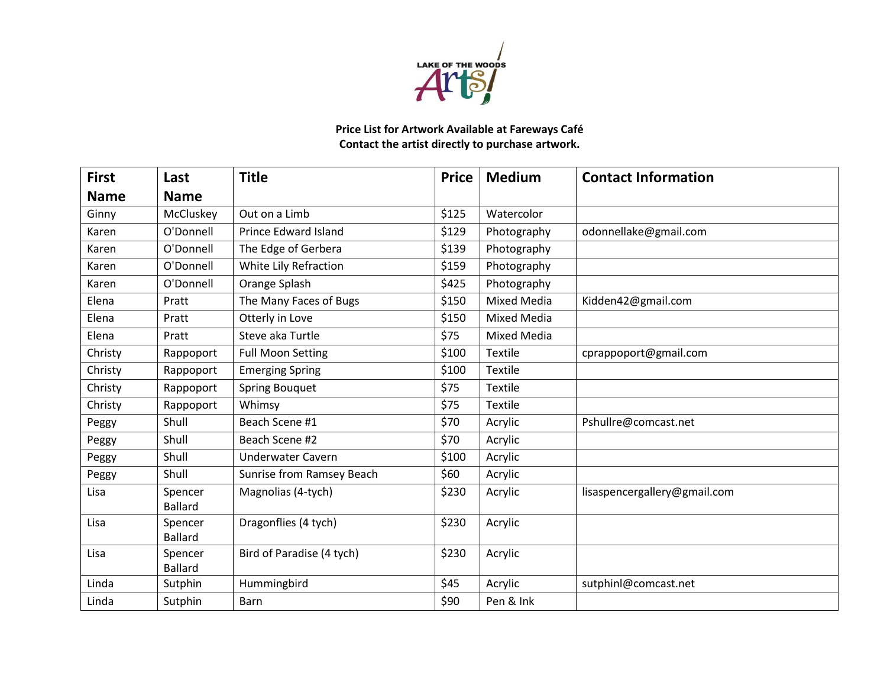

## **Price List for Artwork Available at Fareways Café Contact the artist directly to purchase artwork.**

| <b>First</b> | Last                      | <b>Title</b>                | <b>Price</b> | <b>Medium</b>      | <b>Contact Information</b>   |
|--------------|---------------------------|-----------------------------|--------------|--------------------|------------------------------|
| <b>Name</b>  | <b>Name</b>               |                             |              |                    |                              |
| Ginny        | McCluskey                 | Out on a Limb               | \$125        | Watercolor         |                              |
| Karen        | O'Donnell                 | <b>Prince Edward Island</b> | \$129        | Photography        | odonnellake@gmail.com        |
| Karen        | O'Donnell                 | The Edge of Gerbera         | \$139        | Photography        |                              |
| Karen        | O'Donnell                 | White Lily Refraction       | \$159        | Photography        |                              |
| Karen        | O'Donnell                 | Orange Splash               | \$425        | Photography        |                              |
| Elena        | Pratt                     | The Many Faces of Bugs      | \$150        | <b>Mixed Media</b> | Kidden42@gmail.com           |
| Elena        | Pratt                     | Otterly in Love             | \$150        | <b>Mixed Media</b> |                              |
| Elena        | Pratt                     | Steve aka Turtle            | \$75         | <b>Mixed Media</b> |                              |
| Christy      | Rappoport                 | <b>Full Moon Setting</b>    | \$100        | Textile            | cprappoport@gmail.com        |
| Christy      | Rappoport                 | <b>Emerging Spring</b>      | \$100        | Textile            |                              |
| Christy      | Rappoport                 | <b>Spring Bouquet</b>       | \$75         | <b>Textile</b>     |                              |
| Christy      | Rappoport                 | Whimsy                      | \$75         | Textile            |                              |
| Peggy        | Shull                     | Beach Scene #1              | \$70         | Acrylic            | Pshullre@comcast.net         |
| Peggy        | Shull                     | Beach Scene #2              | \$70         | Acrylic            |                              |
| Peggy        | Shull                     | <b>Underwater Cavern</b>    | \$100        | Acrylic            |                              |
| Peggy        | Shull                     | Sunrise from Ramsey Beach   | \$60         | Acrylic            |                              |
| Lisa         | Spencer<br><b>Ballard</b> | Magnolias (4-tych)          | \$230        | Acrylic            | lisaspencergallery@gmail.com |
| Lisa         | Spencer<br><b>Ballard</b> | Dragonflies (4 tych)        | \$230        | Acrylic            |                              |
| Lisa         | Spencer<br><b>Ballard</b> | Bird of Paradise (4 tych)   | \$230        | Acrylic            |                              |
| Linda        | Sutphin                   | Hummingbird                 | \$45         | Acrylic            | sutphinl@comcast.net         |
| Linda        | Sutphin                   | Barn                        | \$90         | Pen & Ink          |                              |